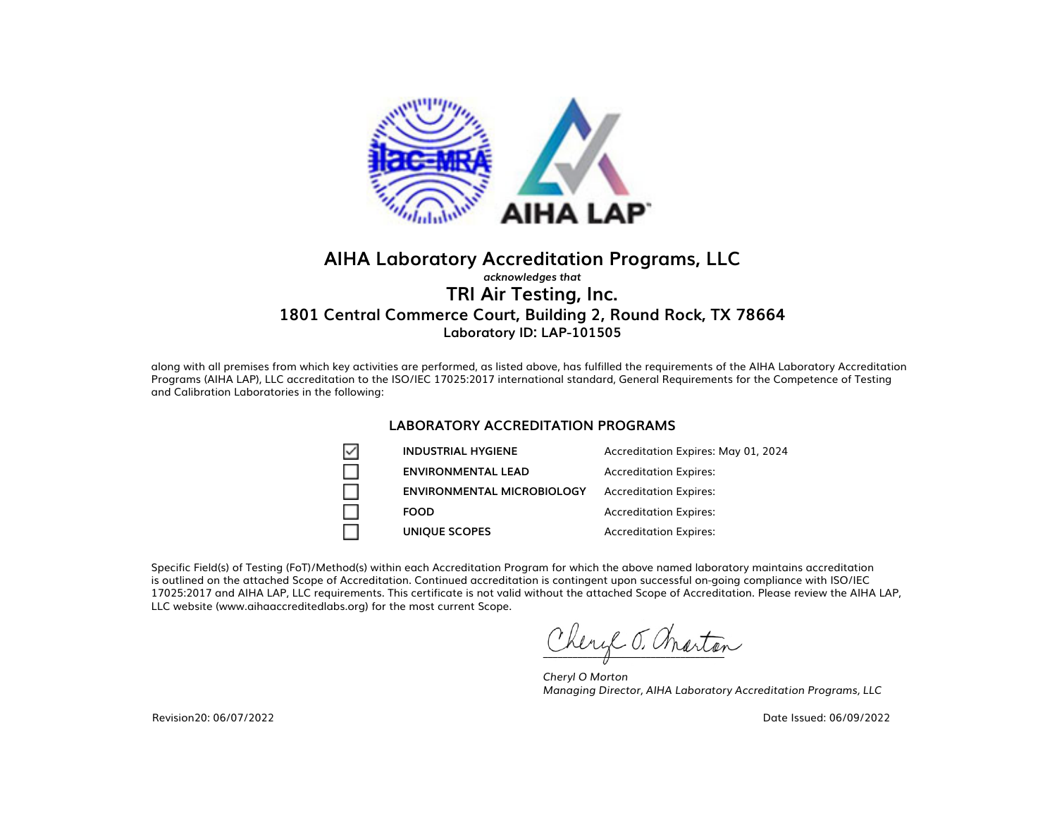

### **AIHA Laboratory Accreditation Programs, LLC** *acknowledges that* **TRI Air Testing, Inc. 1801 Central Commerce Court, Building 2, Round Rock, TX 78664 Laboratory ID: LAP-101505**

along with all premises from which key activities are performed, as listed above, has fulfilled the requirements of the AIHA Laboratory Accreditation Programs (AIHA LAP), LLC accreditation to the ISO/IEC 17025:2017 international standard, General Requirements for the Competence of Testing and Calibration Laboratories in the following:

#### **LABORATORY ACCREDITATION PROGRAMS**

| ▽ | <b>INDUSTRIAL HYGIENE</b>         | Accreditation Expires: May 01, 2024 |
|---|-----------------------------------|-------------------------------------|
|   | <b>ENVIRONMENTAL LEAD</b>         | <b>Accreditation Expires:</b>       |
|   | <b>ENVIRONMENTAL MICROBIOLOGY</b> | <b>Accreditation Expires:</b>       |
|   | <b>FOOD</b>                       | <b>Accreditation Expires:</b>       |
|   | <b>UNIQUE SCOPES</b>              | <b>Accreditation Expires:</b>       |

Specific Field(s) of Testing (FoT)/Method(s) within each Accreditation Program for which the above named laboratory maintains accreditation is outlined on the attached Scope of Accreditation. Continued accreditation is contingent upon successful on-going compliance with ISO/IEC 17025:2017 and AIHA LAP, LLC requirements. This certificate is not valid without the attached Scope of Accreditation. Please review the AIHA LAP, LLC website (www.aihaaccreditedlabs.org) for the most current Scope.

hery T. anarton

*Cheryl O Morton Managing Director, AIHA Laboratory Accreditation Programs, LLC*

Date Issued: 06/09/2022

Revision20: 06/07/2022